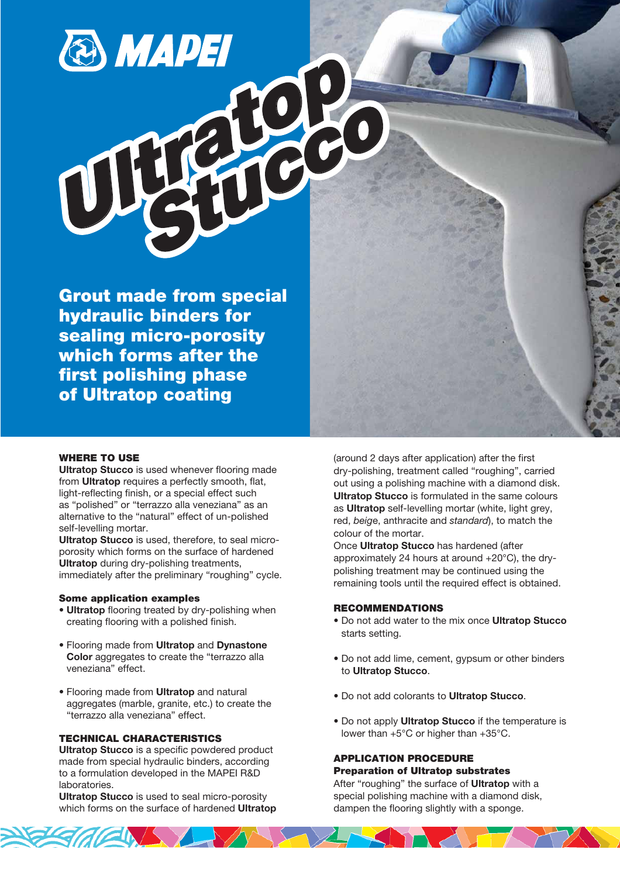# **S MAPEI**

Grout made from special hydraulic binders for sealing micro-porosity which forms after the first polishing phase of Ultratop coating

### WHERE TO USE

Ultratop Stucco is used whenever flooring made from Ultratop requires a perfectly smooth, flat, light-reflecting finish, or a special effect such as "polished" or "terrazzo alla veneziana" as an alternative to the "natural" effect of un-polished self-levelling mortar.

Ultratop Stucco is used, therefore, to seal microporosity which forms on the surface of hardened Ultratop during dry-polishing treatments, immediately after the preliminary "roughing" cycle.

### Some application examples

- Ultratop flooring treated by dry-polishing when creating flooring with a polished finish.
- Flooring made from Ultratop and Dynastone Color aggregates to create the "terrazzo alla veneziana" effect.
- Flooring made from Ultratop and natural aggregates (marble, granite, etc.) to create the "terrazzo alla veneziana" effect.

# TECHNICAL CHARACTERISTICS

Ultratop Stucco is a specific powdered product made from special hydraulic binders, according to a formulation developed in the MAPEI R&D **laboratories** 

Ultratop Stucco is used to seal micro-porosity which forms on the surface of hardened Ultratop (around 2 days after application) after the first dry-polishing, treatment called "roughing", carried out using a polishing machine with a diamond disk. Ultratop Stucco is formulated in the same colours as **Ultratop** self-levelling mortar (white, light grey, red, beige, anthracite and standard), to match the colour of the mortar.

Once Ultratop Stucco has hardened (after approximately 24 hours at around +20°C), the drypolishing treatment may be continued using the remaining tools until the required effect is obtained.

# RECOMMENDATIONS

- Do not add water to the mix once Ultratop Stucco starts setting.
- Do not add lime, cement, gypsum or other binders to Ultratop Stucco.
- Do not add colorants to Ultratop Stucco.
- Do not apply Ultratop Stucco if the temperature is lower than +5°C or higher than +35°C.

### APPLICATION PROCEDURE Preparation of Ultratop substrates

After "roughing" the surface of **Ultratop** with a special polishing machine with a diamond disk, dampen the flooring slightly with a sponge.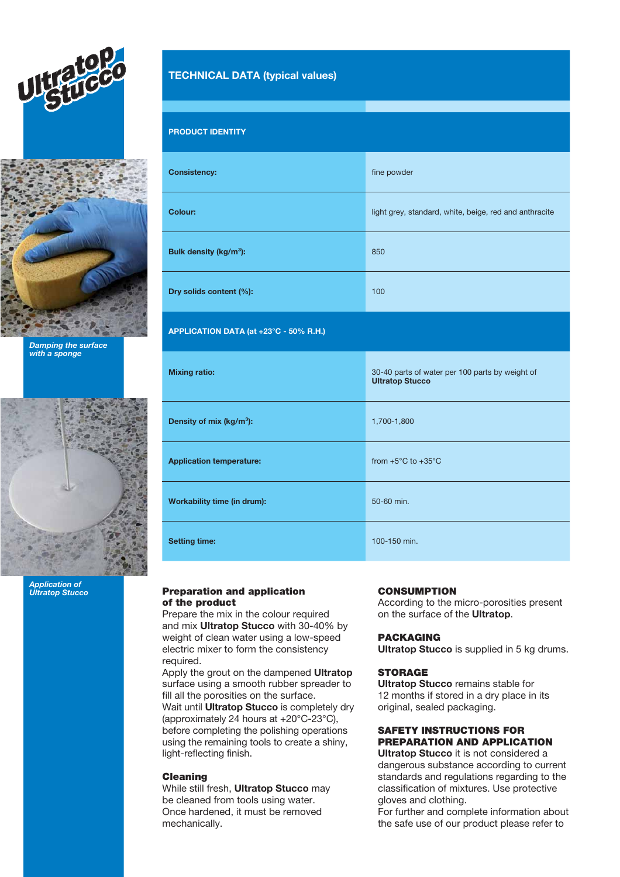



Damping the surface with a sponge



Application of **Ultratop Stucco** 

# TECHNICAL DATA (typical values)

# PRODUCT IDENTITY

| <b>Consistency:</b>                    | fine powder                                                               |
|----------------------------------------|---------------------------------------------------------------------------|
| Colour:                                | light grey, standard, white, beige, red and anthracite                    |
| Bulk density (kg/m <sup>3</sup> ):     | 850                                                                       |
| Dry solids content (%):                | 100                                                                       |
| APPLICATION DATA (at +23°C - 50% R.H.) |                                                                           |
| <b>Mixing ratio:</b>                   | 30-40 parts of water per 100 parts by weight of<br><b>Ultratop Stucco</b> |
| Density of mix (kg/m <sup>3</sup> ):   | 1,700-1,800                                                               |
| <b>Application temperature:</b>        | from $+5^{\circ}$ C to $+35^{\circ}$ C                                    |
| Workability time (in drum):            | 50-60 min.                                                                |
| <b>Setting time:</b>                   | 100-150 min.                                                              |

### Preparation and application of the product

Prepare the mix in the colour required and mix Ultratop Stucco with 30-40% by weight of clean water using a low-speed electric mixer to form the consistency required.

Apply the grout on the dampened Ultratop surface using a smooth rubber spreader to fill all the porosities on the surface. Wait until **Ultratop Stucco** is completely dry (approximately 24 hours at +20°C-23°C), before completing the polishing operations using the remaining tools to create a shiny, light-reflecting finish.

### Cleaning

While still fresh, **Ultratop Stucco** may be cleaned from tools using water. Once hardened, it must be removed mechanically.

### **CONSUMPTION**

According to the micro-porosities present on the surface of the Ultratop.

### PACKAGING

Ultratop Stucco is supplied in 5 kg drums.

### **STORAGE**

Ultratop Stucco remains stable for 12 months if stored in a dry place in its original, sealed packaging.

### SAFETY INSTRUCTIONS FOR PREPARATION AND APPLICATION

Ultratop Stucco it is not considered a dangerous substance according to current standards and regulations regarding to the classification of mixtures. Use protective gloves and clothing.

For further and complete information about the safe use of our product please refer to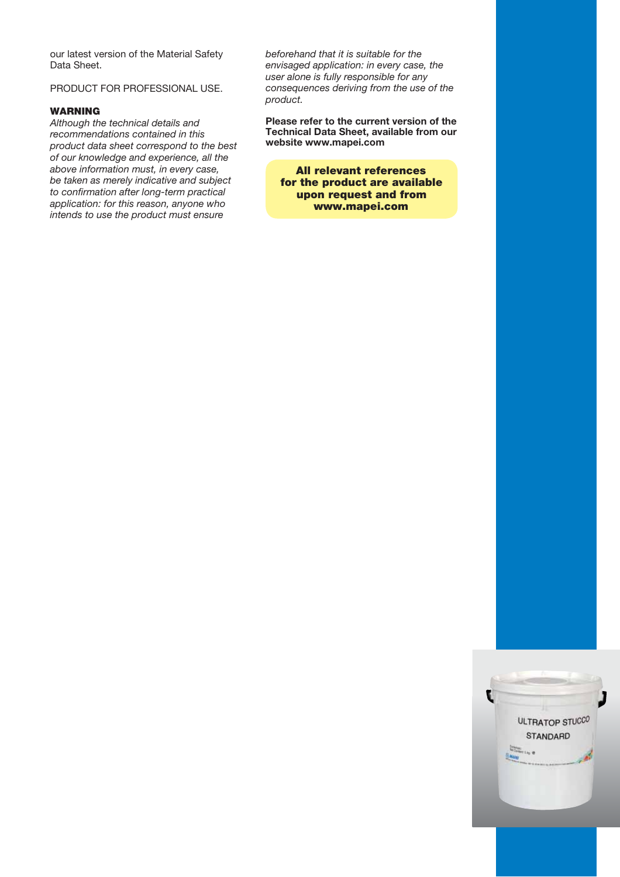our latest version of the Material Safety Data Sheet.

# PRODUCT FOR PROFESSIONAL USE.

### WARNING

Although the technical details and recommendations contained in this product data sheet correspond to the best of our knowledge and experience, all the above information must, in every case, be taken as merely indicative and subject to confirmation after long-term practical application: for this reason, anyone who intends to use the product must ensure

beforehand that it is suitable for the envisaged application: in every case, the user alone is fully responsible for any consequences deriving from the use of the product.

Please refer to the current version of the Technical Data Sheet, available from our website www.mapei.com

All relevant references for the product are available upon request and from www.mapei.com